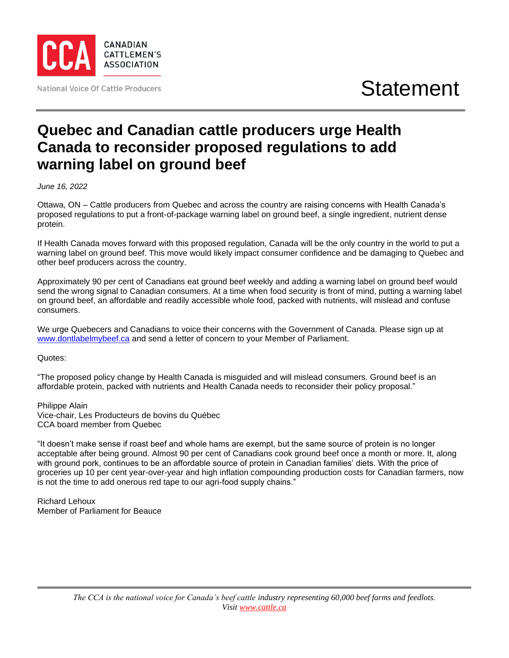

## **Quebec and Canadian cattle producers urge Health Canada to reconsider proposed regulations to add warning label on ground beef**

*June 16, 2022*

Ottawa, ON – Cattle producers from Quebec and across the country are raising concerns with Health Canada's proposed regulations to put a front-of-package warning label on ground beef, a single ingredient, nutrient dense protein.

If Health Canada moves forward with this proposed regulation, Canada will be the only country in the world to put a warning label on ground beef. This move would likely impact consumer confidence and be damaging to Quebec and other beef producers across the country.

Approximately 90 per cent of Canadians eat ground beef weekly and adding a warning label on ground beef would send the wrong signal to Canadian consumers. At a time when food security is front of mind, putting a warning label on ground beef, an affordable and readily accessible whole food, packed with nutrients, will mislead and confuse consumers.

We urge Quebecers and Canadians to voice their concerns with the Government of Canada. Please sign up at [www.dontlabelmybeef.ca](http://www.dontlabelmybeef.ca/) and send a letter of concern to your Member of Parliament.

Quotes:

"The proposed policy change by Health Canada is misguided and will mislead consumers. Ground beef is an affordable protein, packed with nutrients and Health Canada needs to reconsider their policy proposal."

Philippe Alain Vice-chair, Les Producteurs de bovins du Québec CCA board member from Quebec

"It doesn't make sense if roast beef and whole hams are exempt, but the same source of protein is no longer acceptable after being ground. Almost 90 per cent of Canadians cook ground beef once a month or more. It, along with ground pork, continues to be an affordable source of protein in Canadian families' diets. With the price of groceries up 10 per cent year-over-year and high inflation compounding production costs for Canadian farmers, now is not the time to add onerous red tape to our agri-food supply chains."

Richard Lehoux Member of Parliament for Beauce